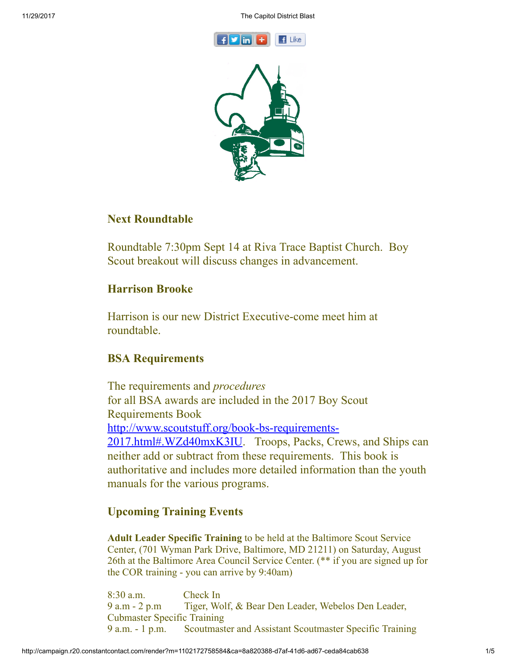



# Next Roundtable

Roundtable 7:30pm Sept 14 at Riva Trace Baptist Church. Boy Scout breakout will discuss changes in advancement.

### Harrison Brooke

Harrison is our new District Executive-come meet him at roundtable.

# BSA Requirements

The requirements and *procedures* for all BSA awards are included in the 2017 Boy Scout Requirements Book [http://www.scoutstuff.org/book-bs-requirements-](http://www.scoutstuff.org/book-bs-requirements-2017.html#.WZd40mxK3IU)2017.html#.WZd40mxK3IU. Troops, Packs, Crews, and Ships can neither add or subtract from these requirements. This book is authoritative and includes more detailed information than the youth manuals for the various programs.

# Upcoming Training Events

Adult Leader Specific Training to be held at the Baltimore Scout Service Center, (701 Wyman Park Drive, Baltimore, MD 21211) on Saturday, August 26th at the Baltimore Area Council Service Center. (\*\* if you are signed up for the COR training - you can arrive by 9:40am)

8:30 a.m. Check In 9 a.m - 2 p.m Tiger, Wolf, & Bear Den Leader, Webelos Den Leader, Cubmaster Specific Training 9 a.m. - 1 p.m. Scoutmaster and Assistant Scoutmaster Specific Training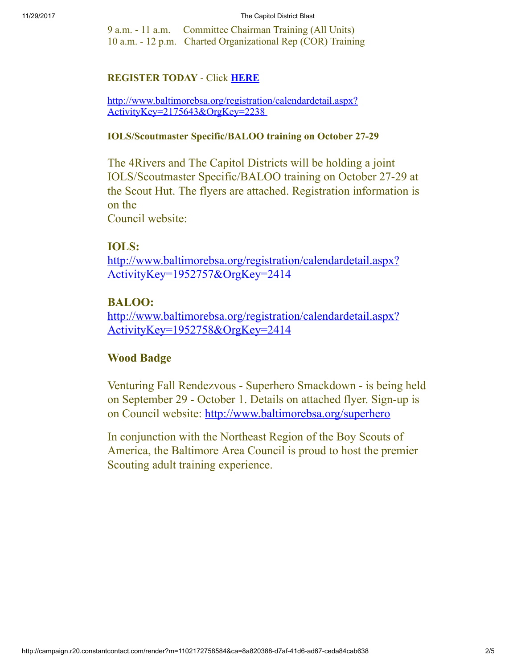9 a.m. - 11 a.m. Committee Chairman Training (All Units) 10 a.m. - 12 p.m. Charted Organizational Rep (COR) Training

### REGISTER TODAY - Click [HERE](http://www.doubleknot.com/openrosters/ShowPage.aspx?3538383833307L383932353035)

[http://www.baltimorebsa.org/registration/calendardetail.aspx?](http://www.baltimorebsa.org/registration/calendardetail.aspx?ActivityKey=2175643&OrgKey=2238) ActivityKey=2175643&OrgKey=2238

#### IOLS/Scoutmaster Specific/BALOO training on October 27-29

The 4Rivers and The Capitol Districts will be holding a joint IOLS/Scoutmaster Specific/BALOO training on October 27-29 at the Scout Hut. The flyers are attached. Registration information is on the

Council website:

### IOLS:

[http://www.baltimorebsa.org/registration/calendardetail.aspx?](http://www.baltimorebsa.org/registration/calendardetail.aspx?ActivityKey=1952757&OrgKey=2414) ActivityKey=1952757&OrgKey=2414

# BALOO:

[http://www.baltimorebsa.org/registration/calendardetail.aspx?](http://www.baltimorebsa.org/registration/calendardetail.aspx?ActivityKey=1952758&OrgKey=2414) ActivityKey=1952758&OrgKey=2414

# Wood Badge

Venturing Fall Rendezvous - Superhero Smackdown - is being held on September 29 - October 1. Details on attached flyer. Sign-up is on Council website: <http://www.baltimorebsa.org/superhero>

In conjunction with the Northeast Region of the Boy Scouts of America, the Baltimore Area Council is proud to host the premier Scouting adult training experience.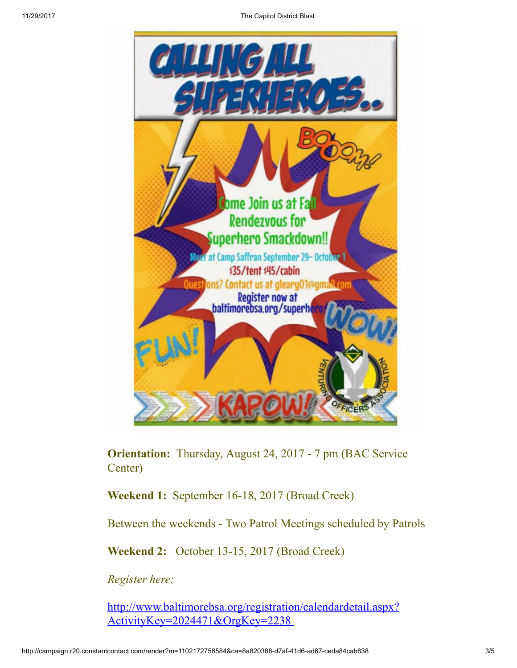

Orientation: Thursday, August 24, 2017 - 7 pm (BAC Service Center)

Weekend 1: September 16-18, 2017 (Broad Creek)

Between the weekends - Two Patrol Meetings scheduled by Patrols

Weekend 2: October 13-15, 2017 (Broad Creek)

*Register here:*

[http://www.baltimorebsa.org/registration/calendardetail.aspx?](http://www.baltimorebsa.org/registration/calendardetail.aspx?ActivityKey=2024471&OrgKey=2238) ActivityKey=2024471&OrgKey=2238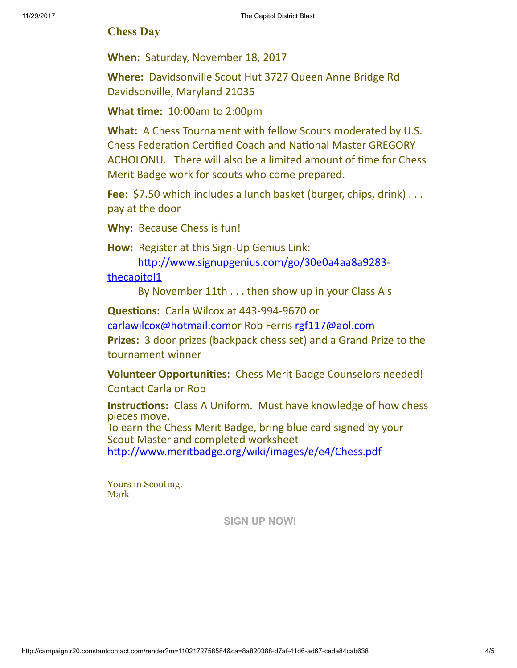### Chess Day

When: Saturday, November 18, 2017

Where: Davidsonville Scout Hut 3727 Queen Anne Bridge Rd Davidsonville, Maryland 21035

**What time: 10:00am to 2:00pm** 

What: A Chess Tournament with fellow Scouts moderated by U.S. Chess Federation Certified Coach and National Master GREGORY ACHOLONU. There will also be a limited amount of time for Chess Merit Badge work for scouts who come prepared.

Fee: \$7.50 which includes a lunch basket (burger, chips, drink)... pay at the door

Why: Because Chess is fun!

How: Register at this Sign-Up Genius Link:

http://www.signupgenius.com/go/30e0a4aa8a9283-

thecapitol1

By November 11th . . . then show up in your Class A's

Questions: Carla Wilcox at 443-994-9670 or

[carlawilcox@hotmail.como](mailto:carlawilcox@hotmail.com)r Rob Ferris [rgf117@aol.com](mailto:rgf117@aol.com)

Prizes: 3 door prizes (backpack chess set) and a Grand Prize to the tournament winner

Volunteer Opportunities: Chess Merit Badge Counselors needed! Contact Carla or Rob

Instructions: Class A Uniform. Must have knowledge of how chess pieces move. To earn the Chess Merit Badge, bring blue card signed by your Scout Master and completed worksheet http://www.meritbadge.org/wiki/images/e/e4/Chess.pdf

Yours in Scouting. Mark

[SIGN UP NOW!](https://visitor.r20.constantcontact.com/d.jsp?llr=yri8jpcab&p=oi&m=1102172758584&sit=wso59vmdb&f=a27b22d6-1ae3-4965-8fb0-13ded5301e7a)